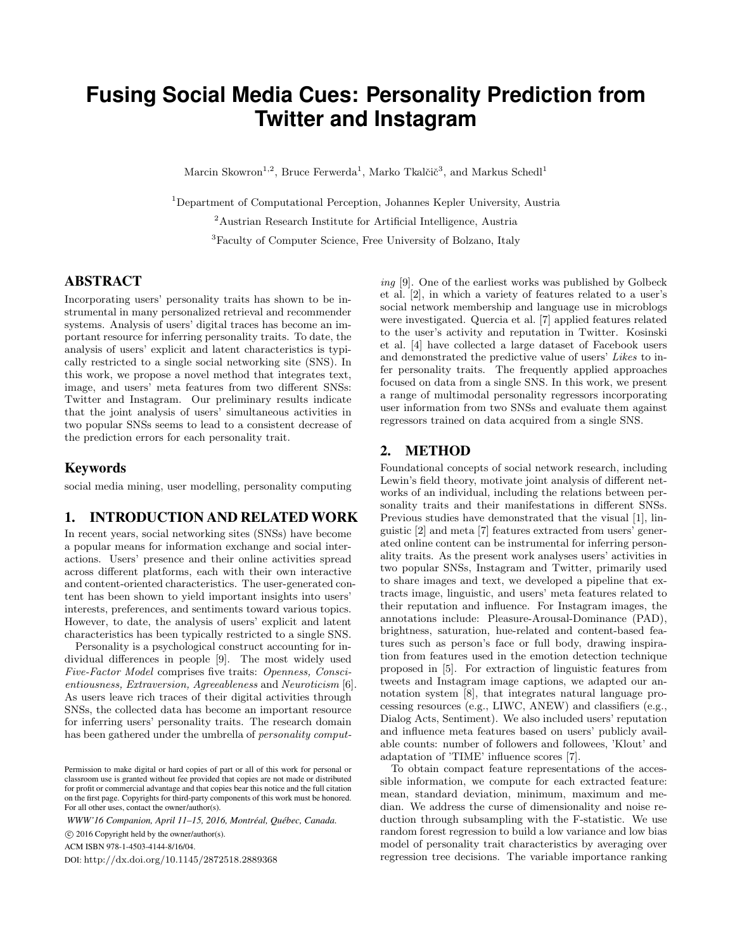# **Fusing Social Media Cues: Personality Prediction from Twitter and Instagram**

Marcin Skowron<sup>1,2</sup>, Bruce Ferwerda<sup>1</sup>, Marko Tkalčič<sup>3</sup>, and Markus Schedl<sup>1</sup>

<sup>1</sup>Department of Computational Perception, Johannes Kepler University, Austria <sup>2</sup>Austrian Research Institute for Artificial Intelligence, Austria <sup>3</sup>Faculty of Computer Science, Free University of Bolzano, Italy

#### ABSTRACT

Incorporating users' personality traits has shown to be instrumental in many personalized retrieval and recommender systems. Analysis of users' digital traces has become an important resource for inferring personality traits. To date, the analysis of users' explicit and latent characteristics is typically restricted to a single social networking site (SNS). In this work, we propose a novel method that integrates text, image, and users' meta features from two different SNSs: Twitter and Instagram. Our preliminary results indicate that the joint analysis of users' simultaneous activities in two popular SNSs seems to lead to a consistent decrease of the prediction errors for each personality trait.

## Keywords

social media mining, user modelling, personality computing

# 1. INTRODUCTION AND RELATED WORK

In recent years, social networking sites (SNSs) have become a popular means for information exchange and social interactions. Users' presence and their online activities spread across different platforms, each with their own interactive and content-oriented characteristics. The user-generated content has been shown to yield important insights into users' interests, preferences, and sentiments toward various topics. However, to date, the analysis of users' explicit and latent characteristics has been typically restricted to a single SNS.

Personality is a psychological construct accounting for individual differences in people [9]. The most widely used Five-Factor Model comprises five traits: Openness, Conscientiousness, Extraversion, Agreeableness and Neuroticism [6]. As users leave rich traces of their digital activities through SNSs, the collected data has become an important resource for inferring users' personality traits. The research domain has been gathered under the umbrella of *personality comput*-

*WWW'16 Companion, April 11–15, 2016, Montréal, Québec, Canada.*

c 2016 Copyright held by the owner/author(s).

ACM ISBN 978-1-4503-4144-8/16/04.

DOI: http://dx.doi.org/10.1145/2872518.2889368

ing [9]. One of the earliest works was published by Golbeck et al. [2], in which a variety of features related to a user's social network membership and language use in microblogs were investigated. Quercia et al. [7] applied features related to the user's activity and reputation in Twitter. Kosinski et al. [4] have collected a large dataset of Facebook users and demonstrated the predictive value of users' Likes to infer personality traits. The frequently applied approaches focused on data from a single SNS. In this work, we present a range of multimodal personality regressors incorporating user information from two SNSs and evaluate them against regressors trained on data acquired from a single SNS.

## 2. METHOD

Foundational concepts of social network research, including Lewin's field theory, motivate joint analysis of different networks of an individual, including the relations between personality traits and their manifestations in different SNSs. Previous studies have demonstrated that the visual [1], linguistic [2] and meta [7] features extracted from users' generated online content can be instrumental for inferring personality traits. As the present work analyses users' activities in two popular SNSs, Instagram and Twitter, primarily used to share images and text, we developed a pipeline that extracts image, linguistic, and users' meta features related to their reputation and influence. For Instagram images, the annotations include: Pleasure-Arousal-Dominance (PAD), brightness, saturation, hue-related and content-based features such as person's face or full body, drawing inspiration from features used in the emotion detection technique proposed in [5]. For extraction of linguistic features from tweets and Instagram image captions, we adapted our annotation system [8], that integrates natural language processing resources (e.g., LIWC, ANEW) and classifiers (e.g., Dialog Acts, Sentiment). We also included users' reputation and influence meta features based on users' publicly available counts: number of followers and followees, 'Klout' and adaptation of 'TIME' influence scores [7].

To obtain compact feature representations of the accessible information, we compute for each extracted feature: mean, standard deviation, minimum, maximum and median. We address the curse of dimensionality and noise reduction through subsampling with the F-statistic. We use random forest regression to build a low variance and low bias model of personality trait characteristics by averaging over regression tree decisions. The variable importance ranking

Permission to make digital or hard copies of part or all of this work for personal or classroom use is granted without fee provided that copies are not made or distributed for profit or commercial advantage and that copies bear this notice and the full citation on the first page. Copyrights for third-party components of this work must be honored. For all other uses, contact the owner/author(s).